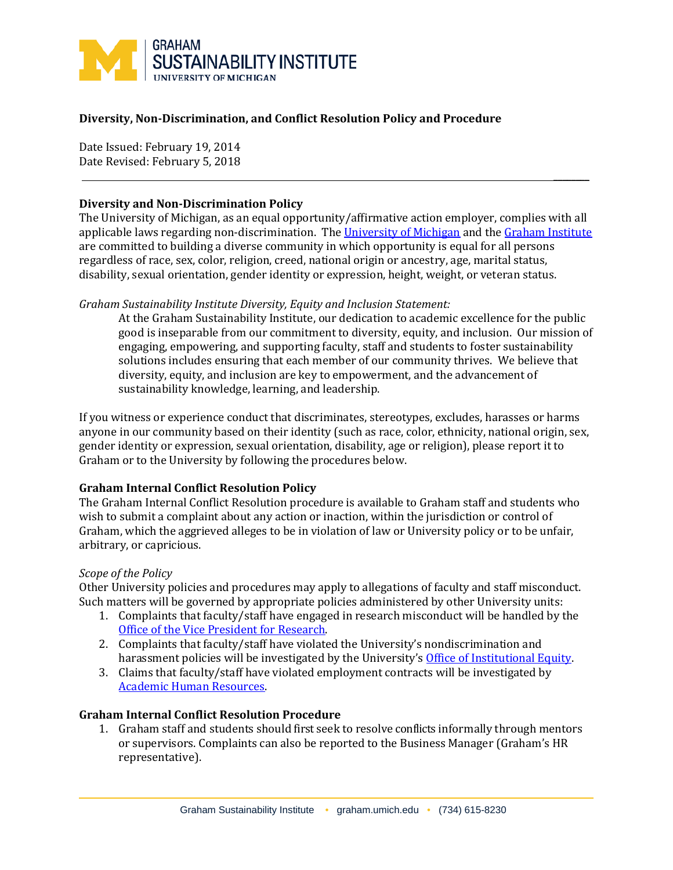

# **Diversity, Non-Discrimination, and Conflict Resolution Policy and Procedure**

Date Issued: February 19, 2014 Date Revised: February 5, 2018

### **Diversity and Non-Discrimination Policy**

The University of Michigan, as an equal opportunity/affirmative action employer, complies with all applicable laws regarding non-discrimination. The [University of Michigan](https://hr.umich.edu/working-u-m/workplace-improvement/office-institutional-equity/nondiscrimination-policy-notice) and the [Graham Institute](http://graham.umich.edu/diversity) are committed to building a diverse community in which opportunity is equal for all persons regardless of race, sex, color, religion, creed, national origin or ancestry, age, marital status, disability, sexual orientation, gender identity or expression, height, weight, or veteran status.

 $\overline{\phantom{a}}$ 

### *Graham Sustainability Institute Diversity, Equity and Inclusion Statement:*

At the Graham Sustainability Institute, our dedication to academic excellence for the public good is inseparable from our commitment to diversity, equity, and inclusion. Our mission of engaging, empowering, and supporting faculty, staff and students to foster sustainability solutions includes ensuring that each member of our community thrives. We believe that diversity, equity, and inclusion are key to empowerment, and the advancement of sustainability knowledge, learning, and leadership.

If you witness or experience conduct that discriminates, stereotypes, excludes, harasses or harms anyone in our community based on their identity (such as race, color, ethnicity, national origin, sex, gender identity or expression, sexual orientation, disability, age or religion), please report it to Graham or to the University by following the procedures below.

### **Graham Internal Conflict Resolution Policy**

The Graham Internal Conflict Resolution procedure is available to Graham staff and students who wish to submit a complaint about any action or inaction, within the jurisdiction or control of Graham, which the aggrieved alleges to be in violation of law or University policy or to be unfair, arbitrary, or capricious.

### *Scope of the Policy*

Other University policies and procedures may apply to allegations of faculty and staff misconduct. Such matters will be governed by appropriate policies administered by other University units:

- 1. Complaints that faculty/staff have engaged in research misconduct will be handled by the [Office of the Vice President for Research.](http://research-compliance.umich.edu/research-integrity)
- 2. Complaints that faculty/staff have violated the University's nondiscrimination and harassment policies will be investigated by the University's [Office of Institutional Equity.](http://hr.umich.edu/oie/)
- 3. Claims that faculty/staff have violated employment contracts will be investigated by [Academic Human Resources.](https://hr.umich.edu/about-uhr/service-areas-offices/academic-human-resources)

### **Graham Internal Conflict Resolution Procedure**

1. Graham staff and students should first seek to resolve conflicts informally through mentors or supervisors. Complaints can also be reported to the Business Manager (Graham's HR representative).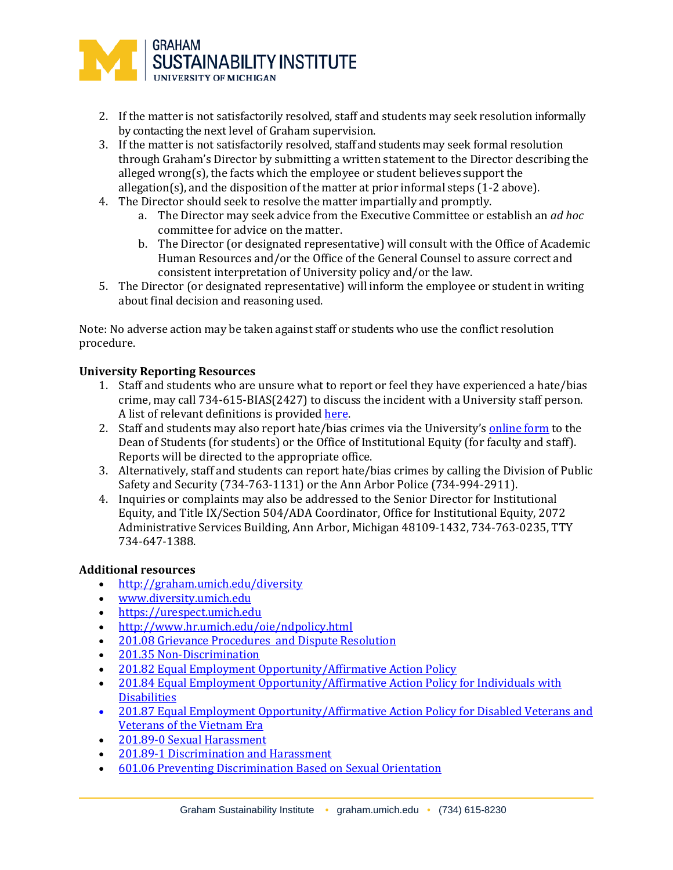

- 2. If the matter is not satisfactorily resolved, staff and students may seek resolution informally by contacting the next level of Graham supervision.
- 3. If the matter is not satisfactorily resolved, staff and students may seek formal resolution through Graham's Director by submitting a written statement to the Director describing the alleged wrong(s), the facts which the employee or student believes support the allegation(s), and the disposition of the matter at prior informal steps (1-2 above).
- 4. The Director should seek to resolve the matter impartially and promptly.
	- a. The Director may seek advice from the Executive Committee or establish an *ad hoc* committee for advice on the matter.
	- b. The Director (or designated representative) will consult with the Office of Academic Human Resources and/or the Office of the General Counsel to assure correct and consistent interpretation of University policy and/or the law.
- 5. The Director (or designated representative) will inform the employee or student in writing about final decision and reasoning used.

Note: No adverse action may be taken against staff or students who use the conflict resolution procedure.

# **University Reporting Resources**

- 1. Staff and students who are unsur[e what to report](https://urespect.umich.edu/node/13) or feel they have experienced a hate/bias crime, may call 734-615-BIAS(2427) to discuss the incident with a University staff person. A list of relevan[t definitions](https://urespect.umich.edu/content/definitions) is provide[d here.](https://urespect.umich.edu/content/definitions)
- 2. Staff and students may also report hate/bias crimes via the University's [online form](https://umich-advocate.symplicity.com/care_report/) to the Dean of Students (for students) or the Office of Institutional Equity (for faculty and staff). Reports will be directed to the appropriate office.
- 3. Alternatively, staff and students can report hate/bias crimes by calling the Division of Public Safety and Security (734-763-1131) or the Ann Arbor Police (734-994-2911).
- 4. Inquiries or complaints may also be addressed to the Senior Director for Institutional Equity, and Title IX/Section 504/ADA Coordinator, Office for Institutional Equity, 2072 Administrative Services Building, Ann Arbor, Michigan 48109-1432, 734-763-0235, TTY 734-647-1388.

### **Additional resources**

- <u><http://graham.umich.edu/diversity></u><br>• www.diversitv.umich.edu
- [www.diversity.umich.edu](http://www.diversity.umich.edu/)
- [https://urespect.umich.edu](https://urespect.umich.edu/)
- <http://www.hr.umich.edu/oie/ndpolicy.html>
- [201.08 Grievance Procedures](http://spg.umich.edu/policy/201.08) and Dispute Resolution
- [201.35 Non-Discrimination](http://spg.umich.edu/policy/201.35)<br>• 201.82 Equal Employment C
- [201.82 Equal Employment Opportunity/Affirmative Action Policy](http://spg.umich.edu/policy/201.82)
- 201.84 Equal Employment Opportunity/Affirmative Action Policy for Individuals with **[Disabilities](http://spg.umich.edu/policy/201.84)**
- 201.87 Equal Employment Opportunity/Affirmative Action Policy for Disabled Veterans and [Veterans of the Vietnam Era](http://spg.umich.edu/pdf/201.87.pdf)
- [201.89-0 Sexual Harassment](http://spg.umich.edu/policy/201.89-0)
- [201.89-1 Discrimination and Harassment](http://spg.umich.edu/policy/201.89-1)
- [601.06 Preventing Discrimination Based on Sexual Orientation](http://spg.umich.edu/policy/601.06)